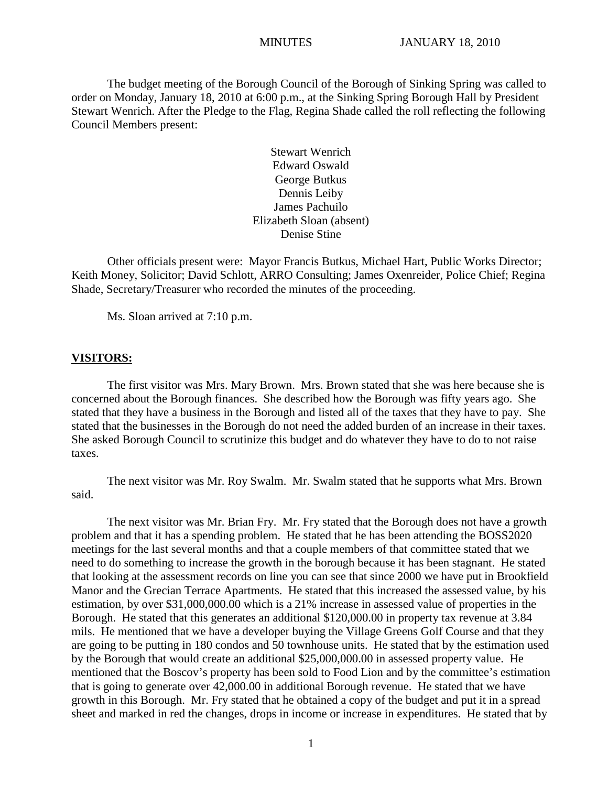The budget meeting of the Borough Council of the Borough of Sinking Spring was called to order on Monday, January 18, 2010 at 6:00 p.m., at the Sinking Spring Borough Hall by President Stewart Wenrich. After the Pledge to the Flag, Regina Shade called the roll reflecting the following Council Members present:

> Stewart Wenrich Edward Oswald George Butkus Dennis Leiby James Pachuilo Elizabeth Sloan (absent) Denise Stine

Other officials present were: Mayor Francis Butkus, Michael Hart, Public Works Director; Keith Money, Solicitor; David Schlott, ARRO Consulting; James Oxenreider, Police Chief; Regina Shade, Secretary/Treasurer who recorded the minutes of the proceeding.

Ms. Sloan arrived at 7:10 p.m.

#### **VISITORS:**

The first visitor was Mrs. Mary Brown. Mrs. Brown stated that she was here because she is concerned about the Borough finances. She described how the Borough was fifty years ago. She stated that they have a business in the Borough and listed all of the taxes that they have to pay. She stated that the businesses in the Borough do not need the added burden of an increase in their taxes. She asked Borough Council to scrutinize this budget and do whatever they have to do to not raise taxes.

The next visitor was Mr. Roy Swalm. Mr. Swalm stated that he supports what Mrs. Brown said.

The next visitor was Mr. Brian Fry. Mr. Fry stated that the Borough does not have a growth problem and that it has a spending problem. He stated that he has been attending the BOSS2020 meetings for the last several months and that a couple members of that committee stated that we need to do something to increase the growth in the borough because it has been stagnant. He stated that looking at the assessment records on line you can see that since 2000 we have put in Brookfield Manor and the Grecian Terrace Apartments. He stated that this increased the assessed value, by his estimation, by over \$31,000,000.00 which is a 21% increase in assessed value of properties in the Borough. He stated that this generates an additional \$120,000.00 in property tax revenue at 3.84 mils. He mentioned that we have a developer buying the Village Greens Golf Course and that they are going to be putting in 180 condos and 50 townhouse units. He stated that by the estimation used by the Borough that would create an additional \$25,000,000.00 in assessed property value. He mentioned that the Boscov's property has been sold to Food Lion and by the committee's estimation that is going to generate over 42,000.00 in additional Borough revenue. He stated that we have growth in this Borough. Mr. Fry stated that he obtained a copy of the budget and put it in a spread sheet and marked in red the changes, drops in income or increase in expenditures. He stated that by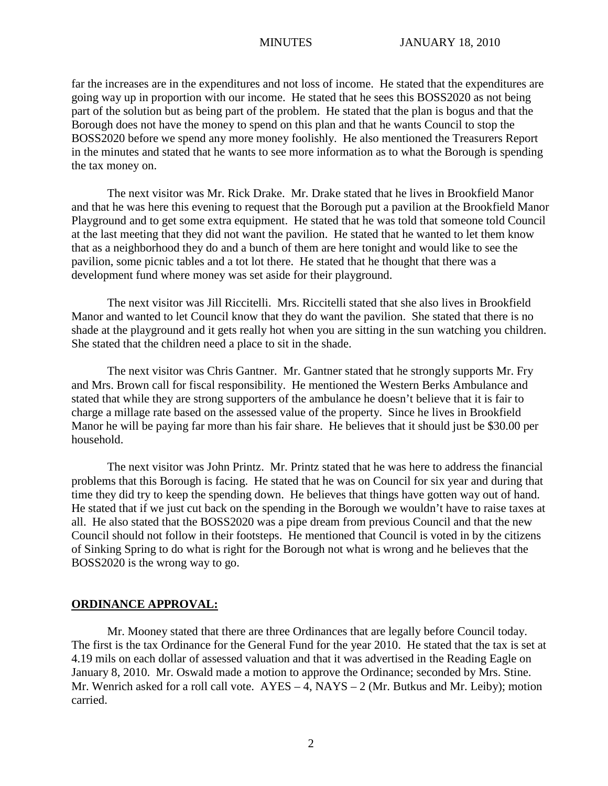far the increases are in the expenditures and not loss of income. He stated that the expenditures are going way up in proportion with our income. He stated that he sees this BOSS2020 as not being part of the solution but as being part of the problem. He stated that the plan is bogus and that the Borough does not have the money to spend on this plan and that he wants Council to stop the BOSS2020 before we spend any more money foolishly. He also mentioned the Treasurers Report in the minutes and stated that he wants to see more information as to what the Borough is spending the tax money on.

The next visitor was Mr. Rick Drake. Mr. Drake stated that he lives in Brookfield Manor and that he was here this evening to request that the Borough put a pavilion at the Brookfield Manor Playground and to get some extra equipment. He stated that he was told that someone told Council at the last meeting that they did not want the pavilion. He stated that he wanted to let them know that as a neighborhood they do and a bunch of them are here tonight and would like to see the pavilion, some picnic tables and a tot lot there. He stated that he thought that there was a development fund where money was set aside for their playground.

The next visitor was Jill Riccitelli. Mrs. Riccitelli stated that she also lives in Brookfield Manor and wanted to let Council know that they do want the pavilion. She stated that there is no shade at the playground and it gets really hot when you are sitting in the sun watching you children. She stated that the children need a place to sit in the shade.

The next visitor was Chris Gantner. Mr. Gantner stated that he strongly supports Mr. Fry and Mrs. Brown call for fiscal responsibility. He mentioned the Western Berks Ambulance and stated that while they are strong supporters of the ambulance he doesn't believe that it is fair to charge a millage rate based on the assessed value of the property. Since he lives in Brookfield Manor he will be paying far more than his fair share. He believes that it should just be \$30.00 per household.

The next visitor was John Printz. Mr. Printz stated that he was here to address the financial problems that this Borough is facing. He stated that he was on Council for six year and during that time they did try to keep the spending down. He believes that things have gotten way out of hand. He stated that if we just cut back on the spending in the Borough we wouldn't have to raise taxes at all. He also stated that the BOSS2020 was a pipe dream from previous Council and that the new Council should not follow in their footsteps. He mentioned that Council is voted in by the citizens of Sinking Spring to do what is right for the Borough not what is wrong and he believes that the BOSS2020 is the wrong way to go.

### **ORDINANCE APPROVAL:**

Mr. Mooney stated that there are three Ordinances that are legally before Council today. The first is the tax Ordinance for the General Fund for the year 2010. He stated that the tax is set at 4.19 mils on each dollar of assessed valuation and that it was advertised in the Reading Eagle on January 8, 2010. Mr. Oswald made a motion to approve the Ordinance; seconded by Mrs. Stine. Mr. Wenrich asked for a roll call vote.  $AYES - 4$ ,  $NAYS - 2$  (Mr. Butkus and Mr. Leiby); motion carried.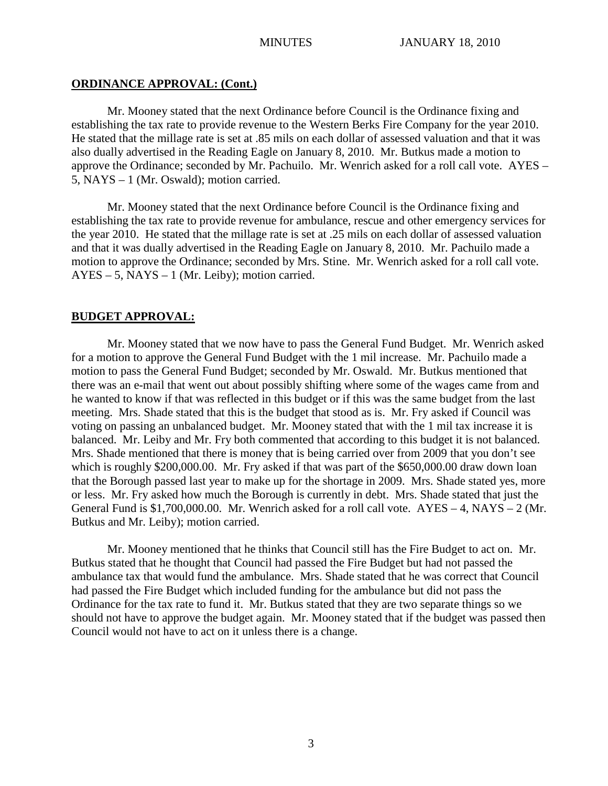## **ORDINANCE APPROVAL: (Cont.)**

Mr. Mooney stated that the next Ordinance before Council is the Ordinance fixing and establishing the tax rate to provide revenue to the Western Berks Fire Company for the year 2010. He stated that the millage rate is set at .85 mils on each dollar of assessed valuation and that it was also dually advertised in the Reading Eagle on January 8, 2010. Mr. Butkus made a motion to approve the Ordinance; seconded by Mr. Pachuilo. Mr. Wenrich asked for a roll call vote. AYES – 5, NAYS – 1 (Mr. Oswald); motion carried.

Mr. Mooney stated that the next Ordinance before Council is the Ordinance fixing and establishing the tax rate to provide revenue for ambulance, rescue and other emergency services for the year 2010. He stated that the millage rate is set at .25 mils on each dollar of assessed valuation and that it was dually advertised in the Reading Eagle on January 8, 2010. Mr. Pachuilo made a motion to approve the Ordinance; seconded by Mrs. Stine. Mr. Wenrich asked for a roll call vote. AYES – 5, NAYS – 1 (Mr. Leiby); motion carried.

## **BUDGET APPROVAL:**

Mr. Mooney stated that we now have to pass the General Fund Budget. Mr. Wenrich asked for a motion to approve the General Fund Budget with the 1 mil increase. Mr. Pachuilo made a motion to pass the General Fund Budget; seconded by Mr. Oswald. Mr. Butkus mentioned that there was an e-mail that went out about possibly shifting where some of the wages came from and he wanted to know if that was reflected in this budget or if this was the same budget from the last meeting. Mrs. Shade stated that this is the budget that stood as is. Mr. Fry asked if Council was voting on passing an unbalanced budget. Mr. Mooney stated that with the 1 mil tax increase it is balanced. Mr. Leiby and Mr. Fry both commented that according to this budget it is not balanced. Mrs. Shade mentioned that there is money that is being carried over from 2009 that you don't see which is roughly \$200,000.00. Mr. Fry asked if that was part of the \$650,000.00 draw down loan that the Borough passed last year to make up for the shortage in 2009. Mrs. Shade stated yes, more or less. Mr. Fry asked how much the Borough is currently in debt. Mrs. Shade stated that just the General Fund is  $$1,700,000.00$ . Mr. Wenrich asked for a roll call vote.  $AYES - 4$ ,  $NAYS - 2$  (Mr. Butkus and Mr. Leiby); motion carried.

Mr. Mooney mentioned that he thinks that Council still has the Fire Budget to act on. Mr. Butkus stated that he thought that Council had passed the Fire Budget but had not passed the ambulance tax that would fund the ambulance. Mrs. Shade stated that he was correct that Council had passed the Fire Budget which included funding for the ambulance but did not pass the Ordinance for the tax rate to fund it. Mr. Butkus stated that they are two separate things so we should not have to approve the budget again. Mr. Mooney stated that if the budget was passed then Council would not have to act on it unless there is a change.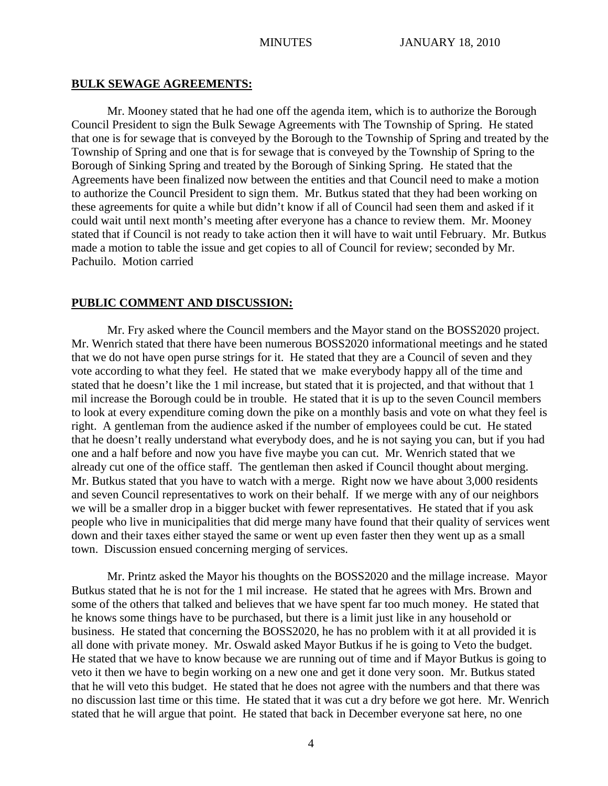#### **BULK SEWAGE AGREEMENTS:**

Mr. Mooney stated that he had one off the agenda item, which is to authorize the Borough Council President to sign the Bulk Sewage Agreements with The Township of Spring. He stated that one is for sewage that is conveyed by the Borough to the Township of Spring and treated by the Township of Spring and one that is for sewage that is conveyed by the Township of Spring to the Borough of Sinking Spring and treated by the Borough of Sinking Spring. He stated that the Agreements have been finalized now between the entities and that Council need to make a motion to authorize the Council President to sign them. Mr. Butkus stated that they had been working on these agreements for quite a while but didn't know if all of Council had seen them and asked if it could wait until next month's meeting after everyone has a chance to review them. Mr. Mooney stated that if Council is not ready to take action then it will have to wait until February. Mr. Butkus made a motion to table the issue and get copies to all of Council for review; seconded by Mr. Pachuilo. Motion carried

## **PUBLIC COMMENT AND DISCUSSION:**

Mr. Fry asked where the Council members and the Mayor stand on the BOSS2020 project. Mr. Wenrich stated that there have been numerous BOSS2020 informational meetings and he stated that we do not have open purse strings for it. He stated that they are a Council of seven and they vote according to what they feel. He stated that we make everybody happy all of the time and stated that he doesn't like the 1 mil increase, but stated that it is projected, and that without that 1 mil increase the Borough could be in trouble. He stated that it is up to the seven Council members to look at every expenditure coming down the pike on a monthly basis and vote on what they feel is right. A gentleman from the audience asked if the number of employees could be cut. He stated that he doesn't really understand what everybody does, and he is not saying you can, but if you had one and a half before and now you have five maybe you can cut. Mr. Wenrich stated that we already cut one of the office staff. The gentleman then asked if Council thought about merging. Mr. Butkus stated that you have to watch with a merge. Right now we have about 3,000 residents and seven Council representatives to work on their behalf. If we merge with any of our neighbors we will be a smaller drop in a bigger bucket with fewer representatives. He stated that if you ask people who live in municipalities that did merge many have found that their quality of services went down and their taxes either stayed the same or went up even faster then they went up as a small town. Discussion ensued concerning merging of services.

Mr. Printz asked the Mayor his thoughts on the BOSS2020 and the millage increase. Mayor Butkus stated that he is not for the 1 mil increase. He stated that he agrees with Mrs. Brown and some of the others that talked and believes that we have spent far too much money. He stated that he knows some things have to be purchased, but there is a limit just like in any household or business. He stated that concerning the BOSS2020, he has no problem with it at all provided it is all done with private money. Mr. Oswald asked Mayor Butkus if he is going to Veto the budget. He stated that we have to know because we are running out of time and if Mayor Butkus is going to veto it then we have to begin working on a new one and get it done very soon. Mr. Butkus stated that he will veto this budget. He stated that he does not agree with the numbers and that there was no discussion last time or this time. He stated that it was cut a dry before we got here. Mr. Wenrich stated that he will argue that point. He stated that back in December everyone sat here, no one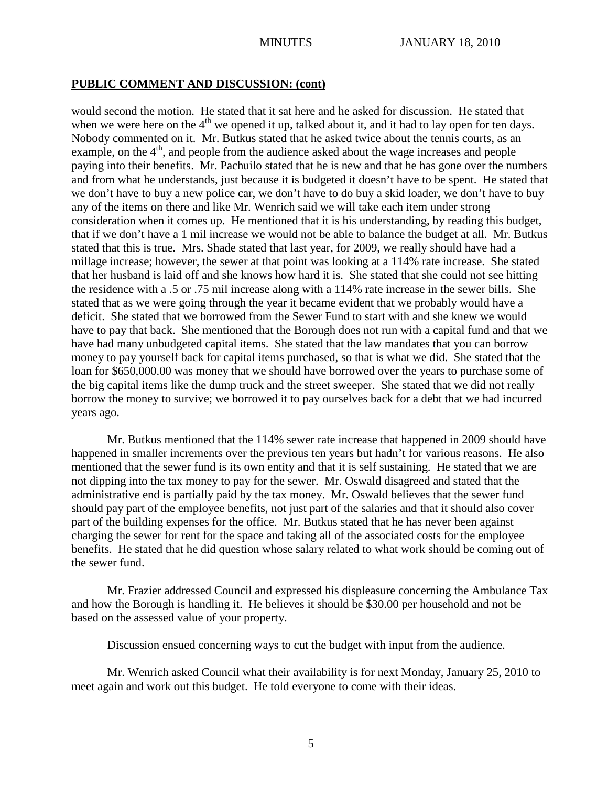### **PUBLIC COMMENT AND DISCUSSION: (cont)**

would second the motion. He stated that it sat here and he asked for discussion. He stated that when we were here on the  $4<sup>th</sup>$  we opened it up, talked about it, and it had to lay open for ten days. Nobody commented on it. Mr. Butkus stated that he asked twice about the tennis courts, as an example, on the  $4<sup>th</sup>$ , and people from the audience asked about the wage increases and people paying into their benefits. Mr. Pachuilo stated that he is new and that he has gone over the numbers and from what he understands, just because it is budgeted it doesn't have to be spent. He stated that we don't have to buy a new police car, we don't have to do buy a skid loader, we don't have to buy any of the items on there and like Mr. Wenrich said we will take each item under strong consideration when it comes up. He mentioned that it is his understanding, by reading this budget, that if we don't have a 1 mil increase we would not be able to balance the budget at all. Mr. Butkus stated that this is true. Mrs. Shade stated that last year, for 2009, we really should have had a millage increase; however, the sewer at that point was looking at a 114% rate increase. She stated that her husband is laid off and she knows how hard it is. She stated that she could not see hitting the residence with a .5 or .75 mil increase along with a 114% rate increase in the sewer bills. She stated that as we were going through the year it became evident that we probably would have a deficit. She stated that we borrowed from the Sewer Fund to start with and she knew we would have to pay that back. She mentioned that the Borough does not run with a capital fund and that we have had many unbudgeted capital items. She stated that the law mandates that you can borrow money to pay yourself back for capital items purchased, so that is what we did. She stated that the loan for \$650,000.00 was money that we should have borrowed over the years to purchase some of the big capital items like the dump truck and the street sweeper. She stated that we did not really borrow the money to survive; we borrowed it to pay ourselves back for a debt that we had incurred years ago.

Mr. Butkus mentioned that the 114% sewer rate increase that happened in 2009 should have happened in smaller increments over the previous ten years but hadn't for various reasons. He also mentioned that the sewer fund is its own entity and that it is self sustaining. He stated that we are not dipping into the tax money to pay for the sewer. Mr. Oswald disagreed and stated that the administrative end is partially paid by the tax money. Mr. Oswald believes that the sewer fund should pay part of the employee benefits, not just part of the salaries and that it should also cover part of the building expenses for the office. Mr. Butkus stated that he has never been against charging the sewer for rent for the space and taking all of the associated costs for the employee benefits. He stated that he did question whose salary related to what work should be coming out of the sewer fund.

Mr. Frazier addressed Council and expressed his displeasure concerning the Ambulance Tax and how the Borough is handling it. He believes it should be \$30.00 per household and not be based on the assessed value of your property.

Discussion ensued concerning ways to cut the budget with input from the audience.

Mr. Wenrich asked Council what their availability is for next Monday, January 25, 2010 to meet again and work out this budget. He told everyone to come with their ideas.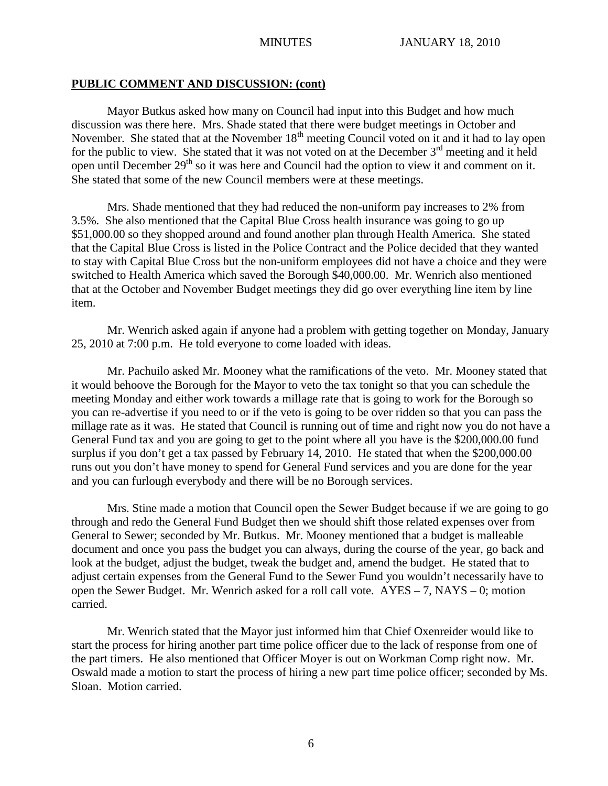## **PUBLIC COMMENT AND DISCUSSION: (cont)**

Mayor Butkus asked how many on Council had input into this Budget and how much discussion was there here. Mrs. Shade stated that there were budget meetings in October and November. She stated that at the November  $18<sup>th</sup>$  meeting Council voted on it and it had to lay open for the public to view. She stated that it was not voted on at the December  $3<sup>rd</sup>$  meeting and it held open until December  $29<sup>th</sup>$  so it was here and Council had the option to view it and comment on it. She stated that some of the new Council members were at these meetings.

Mrs. Shade mentioned that they had reduced the non-uniform pay increases to 2% from 3.5%. She also mentioned that the Capital Blue Cross health insurance was going to go up \$51,000.00 so they shopped around and found another plan through Health America. She stated that the Capital Blue Cross is listed in the Police Contract and the Police decided that they wanted to stay with Capital Blue Cross but the non-uniform employees did not have a choice and they were switched to Health America which saved the Borough \$40,000.00. Mr. Wenrich also mentioned that at the October and November Budget meetings they did go over everything line item by line item.

Mr. Wenrich asked again if anyone had a problem with getting together on Monday, January 25, 2010 at 7:00 p.m. He told everyone to come loaded with ideas.

Mr. Pachuilo asked Mr. Mooney what the ramifications of the veto. Mr. Mooney stated that it would behoove the Borough for the Mayor to veto the tax tonight so that you can schedule the meeting Monday and either work towards a millage rate that is going to work for the Borough so you can re-advertise if you need to or if the veto is going to be over ridden so that you can pass the millage rate as it was. He stated that Council is running out of time and right now you do not have a General Fund tax and you are going to get to the point where all you have is the \$200,000.00 fund surplus if you don't get a tax passed by February 14, 2010. He stated that when the \$200,000.00 runs out you don't have money to spend for General Fund services and you are done for the year and you can furlough everybody and there will be no Borough services.

Mrs. Stine made a motion that Council open the Sewer Budget because if we are going to go through and redo the General Fund Budget then we should shift those related expenses over from General to Sewer; seconded by Mr. Butkus. Mr. Mooney mentioned that a budget is malleable document and once you pass the budget you can always, during the course of the year, go back and look at the budget, adjust the budget, tweak the budget and, amend the budget. He stated that to adjust certain expenses from the General Fund to the Sewer Fund you wouldn't necessarily have to open the Sewer Budget. Mr. Wenrich asked for a roll call vote. AYES – 7, NAYS – 0; motion carried.

Mr. Wenrich stated that the Mayor just informed him that Chief Oxenreider would like to start the process for hiring another part time police officer due to the lack of response from one of the part timers. He also mentioned that Officer Moyer is out on Workman Comp right now. Mr. Oswald made a motion to start the process of hiring a new part time police officer; seconded by Ms. Sloan. Motion carried.